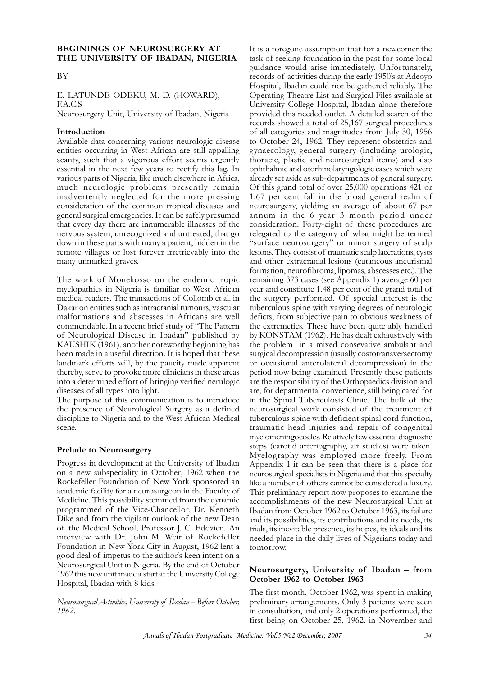## **BEGININGS OF NEUROSURGERY AT THE UNIVERSITY OF IBADAN, NIGERIA**

BY

## E. LATUNDE ODEKU, M. D. (HOWARD), F.A.C.S

Neurosurgery Unit, University of Ibadan, Nigeria

## **Introduction**

Available data concerning various neurologic disease entities occurring in West African are still appalling scanty, such that a vigorous effort seems urgently essential in the next few years to rectify this lag. In various parts of Nigeria, like much elsewhere in Africa, much neurologic problems presently remain inadvertently neglected for the more pressing consideration of the common tropical diseases and general surgical emergencies. It can be safely presumed that every day there are innumerable illnesses of the nervous system, unrecognized and untreated, that go down in these parts with many a patient, hidden in the remote villages or lost forever irretrievably into the many unmarked graves.

The work of Monekosso on the endemic tropic myelopathies in Nigeria is familiar to West African medical readers. The transactions of Collomb et al. in Dakar on entities such as intracranial tumours, vascular malformations and abscesses in Africans are well commendable. In a recent brief study of "The Pattern of Neurological Disease in Ibadan" published by KAUSHIK (1961), another noteworthy beginning has been made in a useful direction. It is hoped that these landmark efforts will, by the paucity made apparent thereby, serve to provoke more clinicians in these areas into a determined effort of bringing verified nerulogic diseases of all types into light.

The purpose of this communication is to introduce the presence of Neurological Surgery as a defined discipline to Nigeria and to the West African Medical scene.

## **Prelude to Neurosurgery**

Progress in development at the University of Ibadan on a new subspeciality in October, 1962 when the Rockefeller Foundation of New York sponsored an academic facility for a neurosurgeon in the Faculty of Medicine. This possibility stemmed from the dynamic programmed of the Vice-Chancellor, Dr. Kenneth Dike and from the vigilant outlook of the new Dean of the Medical School, Professor J. C. Edozien. An interview with Dr. John M. Weir of Rockefeller Foundation in New York City in August, 1962 lent a good deal of impetus to the author's keen intent on a Neurosurgical Unit in Nigeria. By the end of October 1962 this new unit made a start at the University College Hospital, Ibadan with 8 kids.

*Neurosurgical Activities, University of Ibadan – Before October, 1962.*

It is a foregone assumption that for a newcomer the task of seeking foundation in the past for some local guidance would arise immediately. Unfortunately, records of activities during the early 1950's at Adeoyo Hospital, Ibadan could not be gathered reliably. The Operating Theatre List and Surgical Files available at University College Hospital, Ibadan alone therefore provided this needed outlet. A detailed search of the records showed a total of 25,167 surgical procedures of all categories and magnitudes from July 30, 1956 to October 24, 1962. They represent obstetrics and gynaecology, general surgery (including urologic, thoracic, plastic and neurosurgical items) and also ophthalmic and otorhinolaryngologic cases which were already set aside as sub-departments of general surgery. Of this grand total of over 25,000 operations 421 or 1.67 per cent fall in the broad general realm of neurosurgery, yielding an average of about 67 per annum in the 6 year 3 month period under consideration. Forty-eight of these procedures are relegated to the category of what might be termed "surface neurosurgery" or minor surgery of scalp lesions. They consist of traumatic scalp lacerations, cysts and other extracranial lesions (cutaneous aneurismal formation, neurofibroma, lipomas, abscesses etc.). The remaining 373 cases (see Appendix 1) average 60 per year and constitute 1.48 per cent of the grand total of the surgery performed. Of special interest is the tuberculous spine with varying degrees of neurologic deficts, from subjective pain to obvious weakness of the extremeties. These have been quite ably handled by KONSTAM (1962). He has dealt exhaustively with the problem in a mixed consevative ambulant and surgical decompression (usually costotransversectomy or occasional anterolateral decompression) in the period now being examined. Presently these patients are the responsibility of the Orthopaedics division and are, for departmental convenience, still being cared for in the Spinal Tuberculosis Clinic. The bulk of the neurosurgical work consisted of the treatment of tuberculous spine with deficient spinal cord function, traumatic head injuries and repair of congenital myelomeningocoeles. Relatively few essential diagnostic steps (carotid arteriography, air studies) were taken. Myelography was employed more freely. From Appendix I it can be seen that there is a place for neurosurgical specialists in Nigeria and that this specialty like a number of others cannot be considered a luxury. This preliminary report now proposes to examine the accomplishments of the new Neurosurgical Unit at Ibadan from October 1962 to October 1963, its failure and its possibilities, its contributions and its needs, its trials, its inevitable presence, its hopes, its ideals and its needed place in the daily lives of Nigerians today and tomorrow.

## **Neurosurgery, University of Ibadan – from October 1962 to October 1963**

The first month, October 1962, was spent in making preliminary arrangements. Only 3 patients were seen in consultation, and only 2 operations performed, the first being on October 25, 1962. in November and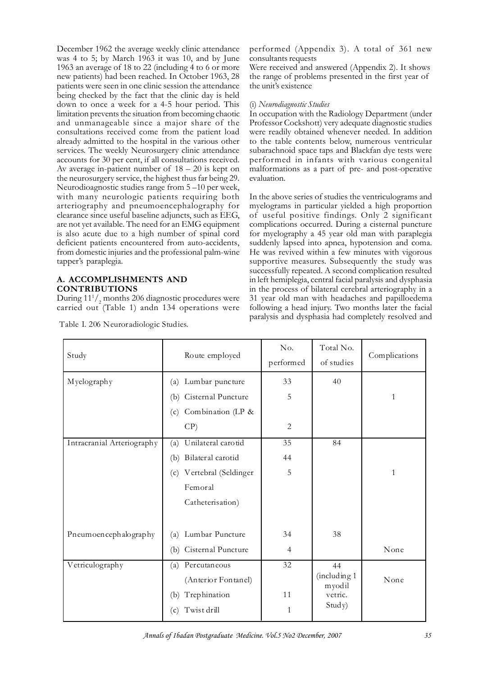December 1962 the average weekly clinic attendance was 4 to 5; by March 1963 it was 10, and by June 1963 an average of 18 to 22 (including 4 to 6 or more new patients) had been reached. In October 1963, 28 patients were seen in one clinic session the attendance being checked by the fact that the clinic day is held down to once a week for a 4-5 hour period. This limitation prevents the situation from becoming chaotic and unmanageable since a major share of the consultations received come from the patient load already admitted to the hospital in the various other services. The weekly Neurosurgery clinic attendance accounts for 30 per cent, if all consultations received. Av average in-patient number of 18 – 20 is kept on the neurosurgery service, the highest thus far being 29. Neurodioagnostic studies range from 5 –10 per week, with many neurologic patients requiring both arteriography and pneumoencephalography for clearance since useful baseline adjuncts, such as EEG, are not yet available. The need for an EMG equipment is also acute due to a high number of spinal cord deficient patients encountered from auto-accidents, from domestic injuries and the professional palm-wine tapper's paraplegia.

# **A. ACCOMPLISHMENTS AND CONTRIBUTIONS**

During  $11^{1}/_2$  months 206 diagnostic procedures were carried out (Table 1) andn 134 operations were

Table I. 206 Neuroradiologic Studies.

performed (Appendix 3). A total of 361 new consultants requests

Were received and answered (Appendix 2). It shows the range of problems presented in the first year of the unit's existence

#### (i) *Neurodiagnostic Studies*

In occupation with the Radiology Department (under Professor Cockshott) very adequate diagnostic studies were readily obtained whenever needed. In addition to the table contents below, numerous ventricular subarachnoid space taps and Blackfan dye tests were performed in infants with various congenital malformations as a part of pre- and post-operative evaluation.

In the above series of studies the ventriculograms and myelograms in particular yielded a high proportion of useful positive findings. Only 2 significant complications occurred. During a cisternal puncture for myelography a 45 year old man with paraplegia suddenly lapsed into apnea, hypotension and coma. He was revived within a few minutes with vigorous supportive measures. Subsequently the study was successfully repeated. A second complication resulted in left hemiplegia, central facial paralysis and dysphasia in the process of bilateral cerebral arteriography in a 31 year old man with headaches and papilloedema following a head injury. Two months later the facial paralysis and dysphasia had completely resolved and

| Study                      | Route employed                       | No.<br>performed | Total No.<br>of studies | Complications |
|----------------------------|--------------------------------------|------------------|-------------------------|---------------|
| Myelography                | Lumbar puncture<br>$\left( a\right)$ | 33               | 40                      |               |
|                            | Cisternal Puncture<br>(b)            | 5                |                         | 1             |
|                            | Combination (LP &<br>(c)             |                  |                         |               |
|                            | $CP$ )                               | $\overline{2}$   |                         |               |
| Intracranial Arteriography | Unilateral carotid<br>(a)            | 35               | 84                      |               |
|                            | Bilateral carotid<br>(b)             | 44               |                         |               |
|                            | Vertebral (Seldinger<br>(c)          | 5                |                         | 1             |
|                            | Femoral                              |                  |                         |               |
|                            | Catheterisation)                     |                  |                         |               |
|                            |                                      |                  |                         |               |
| Pneumoencephalography      | Lumbar Puncture<br>(a)               | 34               | 38                      |               |
|                            | Cisternal Puncture<br>(b)            | $\overline{4}$   |                         | None          |
| Vetriculography            | Percutaneous<br>(a)                  | 32               | 44                      |               |
|                            | (Anterior Fontanel)                  |                  | (including 1<br>myodil  | None          |
|                            | Trephination<br>(b)                  | 11               | vetric.                 |               |
|                            | Twist drill<br>(c)                   | 1                | Study)                  |               |

Annals of Ibadan Postgraduate Medicine. Vol.5 No2 December, 2007 35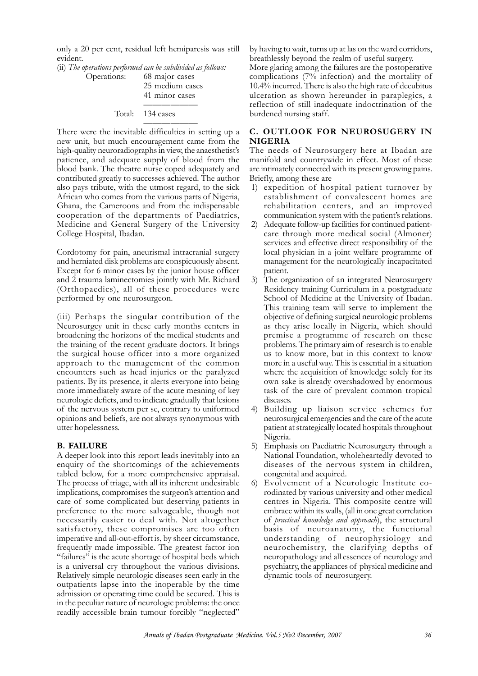only a 20 per cent, residual left hemiparesis was still evident.

| (ii) The operations performed can be subdivided as follows: |
|-------------------------------------------------------------|
| Operations: 68 major cases                                  |
| 25 medium cases                                             |
| 41 minor cases                                              |
| Total: 134 cases                                            |
|                                                             |

—————— There were the inevitable difficulties in setting up a new unit, but much encouragement came from the high-quality neuroradiographs in view, the anaesthetist's patience, and adequate supply of blood from the blood bank. The theatre nurse coped adequately and contributed greatly to successes achieved. The author also pays tribute, with the utmost regard, to the sick African who comes from the various parts of Nigeria, Ghana, the Cameroons and from the indispensable cooperation of the departments of Paediatrics, Medicine and General Surgery of the University College Hospital, Ibadan.

Cordotomy for pain, aneurismal intracranial surgery and herniated disk problems are conspicuously absent. Except for 6 minor cases by the junior house officer and 2 trauma laminectomies jointly with Mr. Richard (Orthopaedics), all of these procedures were performed by one neurosurgeon.

(iii) Perhaps the singular contribution of the Neurosurgey unit in these early months centers in broadening the horizons of the medical students and the training of the recent graduate doctors. It brings the surgical house officer into a more organized approach to the management of the common encounters such as head injuries or the paralyzed patients. By its presence, it alerts everyone into being more immediately aware of the acute meaning of key neurologic deficts, and to indicate gradually that lesions of the nervous system per se, contrary to uniformed opinions and beliefs, are not always synonymous with utter hopelessness.

## **B. FAILURE**

A deeper look into this report leads inevitably into an enquiry of the shortcomings of the achievements tabled below, for a more comprehensive appraisal. The process of triage, with all its inherent undesirable implications, compromises the surgeon's attention and care of some complicated but deserving patients in preference to the more salvageable, though not necessarily easier to deal with. Not altogether satisfactory, these compromises are too often imperative and all-out-effort is, by sheer circumstance, frequently made impossible. The greatest factor ion "failures" is the acute shortage of hospital beds which is a universal cry throughout the various divisions. Relatively simple neurologic diseases seen early in the outpatients lapse into the inoperable by the time admission or operating time could be secured. This is in the peculiar nature of neurologic problems: the once readily accessible brain tumour forcibly "neglected"

by having to wait, turns up at las on the ward corridors, breathlessly beyond the realm of useful surgery.

More glaring among the failures are the postoperative complications (7% infection) and the mortality of 10.4% incurred. There is also the high rate of decubitus ulceration as shown hereunder in paraplegics, a reflection of still inadequate indoctrination of the burdened nursing staff.

# **C. OUTLOOK FOR NEUROSUGERY IN NIGERIA**

The needs of Neurosurgery here at Ibadan are manifold and countrywide in effect. Most of these are intimately connected with its present growing pains. Briefly, among these are

- 1) expedition of hospital patient turnover by establishment of convalescent homes are rehabilitation centers, and an improved communication system with the patient's relations.
- 2) Adequate follow-up facilities for continued patientcare through more medical social (Almoner) services and effective direct responsibility of the local physician in a joint welfare programme of management for the neurologically incapacitated patient.
- 3) The organization of an integrated Neurosurgery Residency training Curriculum in a postgraduate School of Medicine at the University of Ibadan. This training team will serve to implement the objective of defining surgical neurologic problems as they arise locally in Nigeria, which should premise a programme of research on these problems. The primary aim of research is to enable us to know more, but in this context to know more in a useful way. This is essential in a situation where the acquisition of knowledge solely for its own sake is already overshadowed by enormous task of the care of prevalent common tropical diseases.
- 4) Building up liaison service schemes for neurosurgical emergencies and the care of the acute patient at strategically located hospitals throughout Nigeria.
- 5) Emphasis on Paediatric Neurosurgery through a National Foundation, wholeheartedly devoted to diseases of the nervous system in children, congenital and acquired.
- 6) Evolvement of a Neurologic Institute corodinated by various university and other medical centres in Nigeria. This composite centre will embrace within its walls, (all in one great correlation of *practical knowledge and approach*), the structural basis of neuroanatomy, the functional understanding of neurophysiology and neurochemistry, the clarifying depths of neuropathology and all essences of neurology and psychiatry, the appliances of physical medicine and dynamic tools of neurosurgery.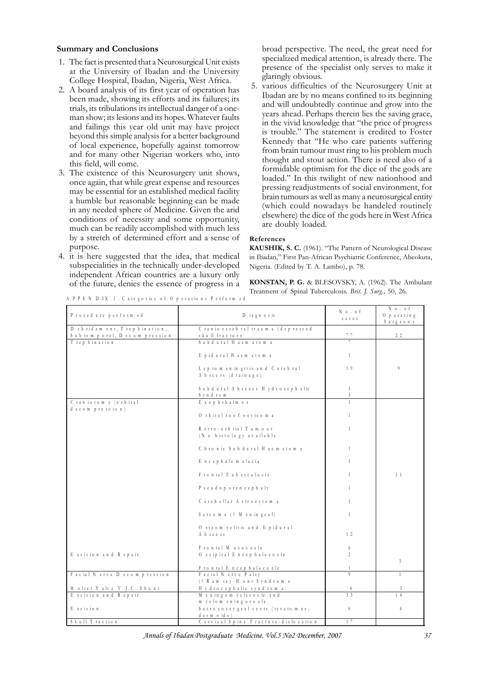### **Summary and Conclusions**

- 1. The fact is presented that a Neurosurgical Unit exists at the University of Ibadan and the University College Hospital, Ibadan, Nigeria, West Africa.
- 2. A board analysis of its first year of operation has been made, showing its efforts and its failures; its trials, its tribulations its intellectual danger of a oneman show; its lesions and its hopes. Whatever faults and failings this year old unit may have project beyond this simple analysis for a better background of local experience, hopefully against tomorrow and for many other Nigerian workers who, into this field, will come.
- 3. The existence of this Neurosurgery unit shows, once again, that while great expense and resources may be essential for an established medical facility a humble but reasonable beginning can be made in any needed sphere of Medicine. Given the arid conditions of necessity and some opportunity, much can be readily accomplished with much less by a stretch of determined effort and a sense of purpose.
- 4. it is here suggested that the idea, that medical subspecialities in the technically under-developed independent African countries are a luxury only of the future, denies the essence of progress in a

broad perspective. The need, the great need for specialized medical attention, is already there. The presence of the specialist only serves to make it glaringly obvious.

5. various difficulties of the Neurosurgery Unit at Ibadan are by no means confined to its beginning and will undoubtedly continue and grow into the years ahead. Perhaps therein lies the saving grace, in the vivid knowledge that "the price of progress is trouble." The statement is credited to Foster Kennedy that "He who care patients suffering from brain tumour must ring to his problem much thought and stout action. There is need also of a formidable optimism for the dice of the gods are loaded." In this twilight of new nationhood and pressing readjustments of social environment, for brain tumours as well as many a neurosurgical entity (which could nowadays be handeled routinely elsewhere) the dice of the gods here in West Africa are doubly loaded.

#### **References**

**KAUSHIK, S. C.** (1961). "The Pattern of Neurological Disease in Ibadan," First Pan-African Psychiatric Conference, Abeokuta, Nigeria. (Edited by T. A. Lambo), p. 78.

**KONSTAN, P. G.** & BLESOVSKY, A. (1962). The Ambulant Treatment of Spinal Tuberculosis. *Brit. J. Surg.,* 50, 26.

| Procedure performed                                          | D iagn os is                                               | $N_0$ . of<br>c a s e s          | $N_0$ . of<br>O p e rating<br>Surgeons |
|--------------------------------------------------------------|------------------------------------------------------------|----------------------------------|----------------------------------------|
| D eb ridem ent, T rephination,<br>Subtemporal, Decompression | C ranio cereb ral traum a (depressed<br>skull fracture     | 77                               | 22                                     |
| T rephination                                                | Subdural Haematoma                                         |                                  |                                        |
|                                                              | Epidural Haematoma                                         | $\mathbf{1}$                     |                                        |
|                                                              | Lep to men in gitis and Cerebral<br>A b scess (d rain age) | 1 <sup>9</sup>                   | $\overline{9}$                         |
|                                                              | Subdural Abscess Hydrocephalic<br>Syndrom                  | $\mathfrak{Z}$<br>$\mathfrak{Z}$ |                                        |
| C ran io to m y (o rbital                                    | Exophthalmos                                               | $\mathbf{1}$                     |                                        |
| decompresoion)                                               | O rbital roof oesteom a                                    | $\mathbf{1}$                     |                                        |
|                                                              | Retro-orbital Tumour<br>(No histology available            | $\mathbf{1}$                     |                                        |
|                                                              | Chronic Subdural Haematoma                                 | $\mathbf{1}$                     |                                        |
|                                                              | Encephalomalacia                                           | $\mathbf{1}$                     |                                        |
|                                                              | Frontal Tuberculosis                                       | $\mathbf{1}$                     | 11                                     |
|                                                              | P seudoporen ceph aly                                      | $\mathbf{1}$                     |                                        |
|                                                              | Cerebellar Astrocytom a                                    | $\mathbf{1}$                     |                                        |
|                                                              | Sarcoma (? Meningeal)                                      | $\mathbf{1}$                     |                                        |
|                                                              | O steom yelitis and Epidural<br>A b scess                  | 1 <sub>2</sub>                   |                                        |
|                                                              | Frontal Mucocoele                                          | 6                                |                                        |
| Excision and Repair                                          | O ccipital Encephalocoele                                  | $\overline{2}$                   | $\mathfrak{Z}$                         |
|                                                              | Frontal Encephalocoele                                     |                                  |                                        |
| Facial Nerve Decompression                                   | Facial Nerve Palsy<br>(? Ram say - Hunt Syndrom e          | $\mathbf{Q}$                     | $\mathbf{1}$                           |
| Holter Valve V.J.C. Shunt                                    | H y d rocephalic syndrome                                  |                                  | $\mathfrak{Z}$                         |
| Excision and Repair                                          | Meningom yelecoele and                                     | 3 <sub>3</sub>                   | 14                                     |
| E xcision                                                    | m y elom eningoco ele<br>Sacro coccygeal cycts (teratomas, | 6                                | 6                                      |
|                                                              | $d$ erm o $id$ s)                                          |                                  |                                        |
| Skull Traction                                               | Cervical Spine Fracture-dislocation                        | 17                               |                                        |

A P P E N D IX 1 . C a te go ries of O p e rations P e r form ed

Annals of Ibadan Postgraduate Medicine. Vol.5 No2 December, 2007 37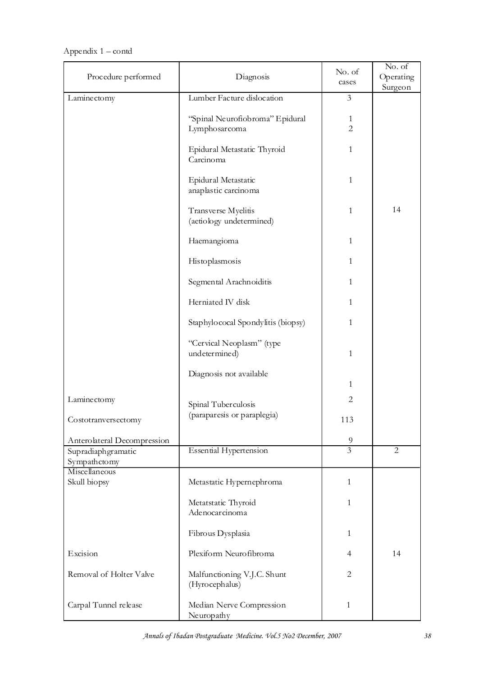Appendix 1 – contd

| Procedure performed                | Diagnosis                                        | No. of<br>cases                | No. of<br>Operating<br>Surgeon |
|------------------------------------|--------------------------------------------------|--------------------------------|--------------------------------|
| Laminectomy                        | Lumber Facture dislocation                       | 3                              |                                |
|                                    | "Spinal Neurofiobroma" Epidural<br>Lymphosarcoma | $\mathbf{1}$<br>$\overline{2}$ |                                |
|                                    | Epidural Metastatic Thyroid<br>Carcinoma         | $\mathbf{1}$                   |                                |
|                                    | Epidural Metastatic<br>anaplastic carcinoma      | $\mathbf{1}$                   |                                |
|                                    | Transverse Myelitis<br>(aetiology undetermined)  | $\mathbf{1}$                   | 14                             |
|                                    | Haemangioma                                      | $\mathbf{1}$                   |                                |
|                                    | Histoplasmosis                                   | $\mathbf{1}$                   |                                |
|                                    | Segmental Arachnoiditis                          | $\mathbf{1}$                   |                                |
|                                    | Herniated IV disk                                | $\mathbf{1}$                   |                                |
|                                    | Staphylococal Spondylitis (biopsy)               | $\mathbf{1}$                   |                                |
|                                    | "Cervical Neoplasm" (type<br>undetermined)       | $\mathbf{1}$                   |                                |
|                                    | Diagnosis not available                          | $\mathbf{1}$                   |                                |
| Laminectomy                        | Spinal Tuberculosis                              | $\overline{c}$                 |                                |
| Costotranversectomy                | (paraparesis or paraplegia)                      | 113                            |                                |
| Anterolateral Decompression        |                                                  | 9                              |                                |
| Supradiaphgramatic<br>Sympathctomy | <b>Essential Hypertension</b>                    | $\overline{3}$                 | $\overline{2}$                 |
| Miscellaneous<br>Skull biopsy      | Metastatic Hypernephroma                         | $\mathbf{1}$                   |                                |
|                                    | Metatstatic Thyroid<br>Adenocarcinoma            | $\mathbf{1}$                   |                                |
|                                    | Fibrous Dysplasia                                | $\mathbf{1}$                   |                                |
| Excision                           | Plexiform Neurofibroma                           | $\overline{4}$                 | 14                             |
| Removal of Holter Valve            | Malfunctioning V.J.C. Shunt<br>(Hyrocephalus)    | 2                              |                                |
| Carpal Tunnel release              | Median Nerve Compression<br>Neuropathy           | $\mathbf{1}$                   |                                |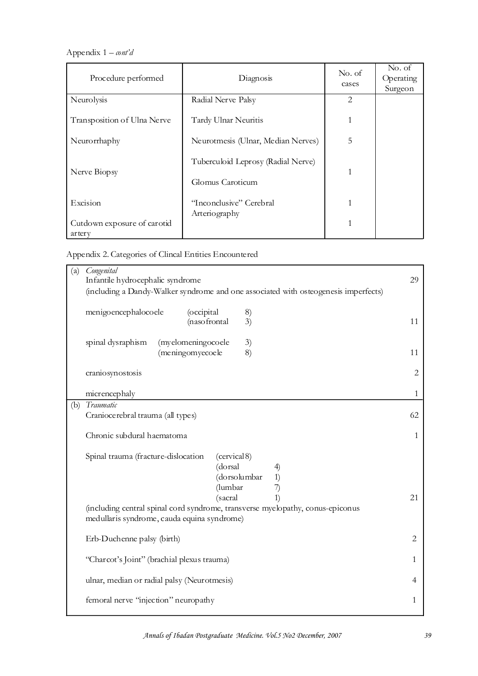# Appendix 1 – *cont'd*

| Procedure performed                   | Diagnosis                                              | No. of<br>cases               | No. of<br>Operating<br>Surgeon |
|---------------------------------------|--------------------------------------------------------|-------------------------------|--------------------------------|
| Neurolysis                            | Radial Nerve Palsy                                     | $\mathfrak{D}_{\mathfrak{p}}$ |                                |
| Transposition of Ulna Nerve           | Tardy Ulnar Neuritis                                   | 1                             |                                |
| Neurorrhaphy                          | Neurotmesis (Ulnar, Median Nerves)                     | 5                             |                                |
| Nerve Biopsy                          | Tuberculoid Leprosy (Radial Nerve)<br>Glomus Caroticum | $\mathbf{1}$                  |                                |
| Excision                              | 'Inconclusive'' Cerebral<br>Arteriography              | 1                             |                                |
| Cutdown exposure of carotid<br>artery |                                                        | 1                             |                                |

Appendix 2. Categories of Clincal Entities Encountered

| (a) | Congenital                                                                          |                |  |  |  |  |
|-----|-------------------------------------------------------------------------------------|----------------|--|--|--|--|
|     | Infantile hydrocephalic syndrome<br>29                                              |                |  |  |  |  |
|     | (including a Dandy-Walker syndrome and one associated with osteogenesis imperfects) |                |  |  |  |  |
|     |                                                                                     |                |  |  |  |  |
|     | (occipital<br>menigoencephalocoele<br>8)                                            |                |  |  |  |  |
|     | 3)<br>(nasofrontal                                                                  | 11             |  |  |  |  |
|     |                                                                                     |                |  |  |  |  |
|     | spinal dysraphism<br>(myelomeningocoele<br>3)                                       | 11             |  |  |  |  |
|     | (meningomyecoele<br>8)                                                              |                |  |  |  |  |
|     | craniosynostosis                                                                    | 2              |  |  |  |  |
|     |                                                                                     |                |  |  |  |  |
|     | micrencephaly                                                                       | $\mathbf{1}$   |  |  |  |  |
| (b) | Traumatic                                                                           |                |  |  |  |  |
|     | Craniocerebral trauma (all types)                                                   | 62             |  |  |  |  |
|     |                                                                                     |                |  |  |  |  |
|     | Chronic subdural haematoma                                                          |                |  |  |  |  |
|     |                                                                                     |                |  |  |  |  |
|     | Spinal trauma (fracture-dislocation<br>(cervical8)                                  |                |  |  |  |  |
|     | (dorsal<br>$\left( \frac{4}{2} \right)$                                             |                |  |  |  |  |
|     | (dorsolumbar<br>1)                                                                  |                |  |  |  |  |
|     | (lumbar<br>7)                                                                       |                |  |  |  |  |
|     | (sacral<br>1)                                                                       | 21             |  |  |  |  |
|     | (including central spinal cord syndrome, transverse myelopathy, conus-epiconus      |                |  |  |  |  |
|     | medullaris syndrome, cauda equina syndrome)                                         |                |  |  |  |  |
|     | Erb-Duchenne palsy (birth)                                                          | $\overline{2}$ |  |  |  |  |
|     |                                                                                     |                |  |  |  |  |
|     | "Charcot's Joint" (brachial plexus trauma)                                          | $\mathbf{1}$   |  |  |  |  |
|     |                                                                                     |                |  |  |  |  |
|     | ulnar, median or radial palsy (Neurotmesis)                                         | 4              |  |  |  |  |
|     |                                                                                     |                |  |  |  |  |
|     | femoral nerve "injection" neuropathy                                                | $\mathbf{1}$   |  |  |  |  |
|     |                                                                                     |                |  |  |  |  |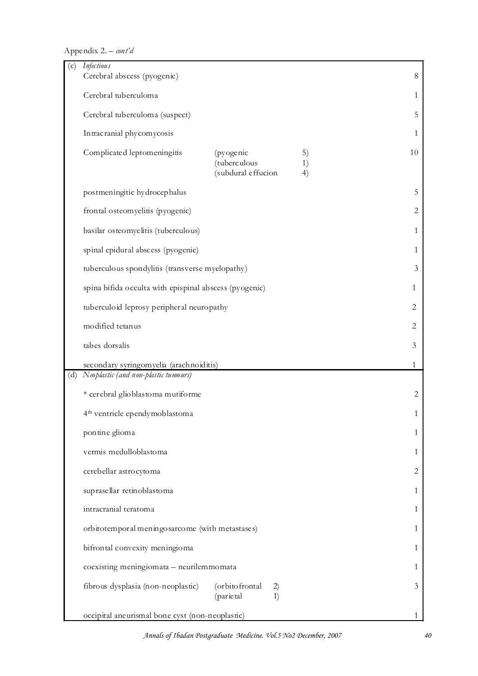Appendix 2. – *cont'd*

| (c) | <b>Infectious</b><br>Cerebral abscess (pyogenic)       |                                                 |                | 8              |
|-----|--------------------------------------------------------|-------------------------------------------------|----------------|----------------|
|     | Cerebral tuberculoma                                   |                                                 |                | 1              |
|     | Cerebral tuberculoma (suspect)                         |                                                 |                | $\mathbf 5$    |
|     | Intracranial phycomycosis                              |                                                 |                | 1              |
|     | Complicated leptomeningitis                            | (pyogenic<br>(tuberculous<br>(subdural effucion | 5)<br>1)<br>4) | 10             |
|     | postmeningitic hydrocephalus                           |                                                 |                | 5              |
|     | frontal osteomyelitis (pyogenic)                       |                                                 |                | $\mathbf{2}$   |
|     | basilar osteomyelitis (tuberculous)                    |                                                 |                | 1              |
|     | spinal epidural abscess (pyogenic)                     |                                                 |                | 1              |
|     | tuberculous spondylitis (transverse myelopathy)        |                                                 |                | $\mathfrak{Z}$ |
|     | spina bifida occulta with epispinal abscess (pyogenic) |                                                 |                | 1              |
|     | tuberculoid leprosy peripheral neuropathy              |                                                 |                | $\overline{2}$ |
|     | modified tetanus                                       |                                                 |                | $\overline{2}$ |
|     | tabes dorsalis                                         |                                                 |                | $\mathfrak{Z}$ |
|     | secondary syringomyelia (arachnoiditis)                |                                                 |                | 1              |
| (d) | Neoplastic (and non-plastic tumours)                   |                                                 |                |                |
|     | * cerebral glioblastoma mutiforme                      |                                                 |                | $\mathbf{2}$   |
|     | 4 <sup>th</sup> ventricle ependymoblastoma             |                                                 |                | 1              |
|     | pontine glioma                                         |                                                 |                | 1              |
|     | vermis medulloblastoma                                 |                                                 |                | 1              |
|     | cerebellar astrocytoma                                 |                                                 |                | 2              |
|     | suprasellar retinoblastoma                             |                                                 |                | 1              |
|     | intracranial teratoma                                  |                                                 |                | 1              |
|     | orbitotemporal meningo sarcome (with metastases)       |                                                 |                | 1              |
|     | bifrontal convexity meningioma                         |                                                 |                | 1              |
|     | coexisting meningiomata - neurilemmomata               |                                                 |                | 1              |
|     | fibrous dysplasia (non-neoplastic)                     | (orbito frontal<br>(parietal                    | 2)<br>1)       | 3              |
|     | occipital aneurismal bone cyst (non-neoplastic)        |                                                 |                | 1              |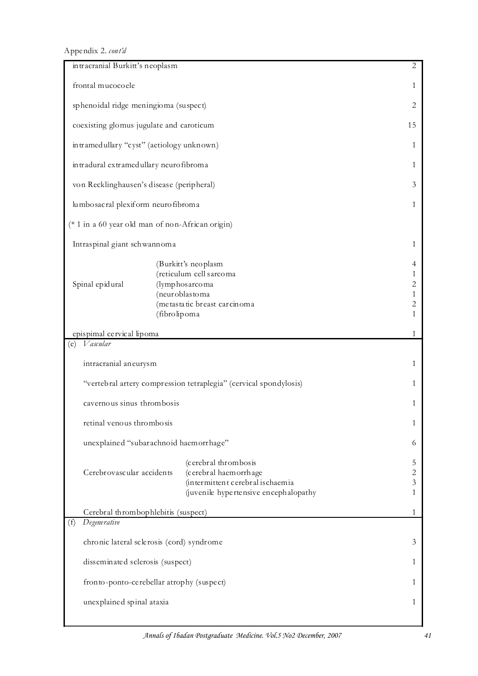|                                                                   | intracranial Burkitt's neoplasm           |                                                  | $\mathbf{2}$    |  |  |  |
|-------------------------------------------------------------------|-------------------------------------------|--------------------------------------------------|-----------------|--|--|--|
|                                                                   |                                           |                                                  | 1               |  |  |  |
|                                                                   | frontal mucocoele                         |                                                  |                 |  |  |  |
| sphenoidal ridge meningioma (suspect)                             |                                           |                                                  |                 |  |  |  |
|                                                                   | coexisting glomus jugulate and caroticum  |                                                  | 15              |  |  |  |
|                                                                   | intramedullary "cyst" (aetiology unknown) |                                                  | 1               |  |  |  |
|                                                                   | intradural extramedullary neurofibroma    |                                                  | 1               |  |  |  |
|                                                                   | von Recklinghausen's disease (peripheral) |                                                  | 3               |  |  |  |
|                                                                   | lumbosacral plexiform neurofibroma        |                                                  | 1               |  |  |  |
|                                                                   |                                           | (* 1 in a 60 year old man of non-African origin) |                 |  |  |  |
|                                                                   | Intraspinal giant schwannoma              |                                                  | 1               |  |  |  |
|                                                                   |                                           | (Burkitt's neoplasm                              | 4               |  |  |  |
|                                                                   |                                           | (reticulum cell sarcoma                          | 1               |  |  |  |
|                                                                   | Spinal epidural                           | (lymphosarcoma                                   | $\overline{c}$  |  |  |  |
|                                                                   |                                           | (neuroblastoma<br>(metastatic breast carcinoma   | 1<br>$\sqrt{2}$ |  |  |  |
|                                                                   |                                           | (fibrolipoma                                     | 1               |  |  |  |
|                                                                   |                                           |                                                  |                 |  |  |  |
| (e)                                                               | epispimal cervical lipoma<br>Vascular     |                                                  | 1               |  |  |  |
|                                                                   |                                           |                                                  |                 |  |  |  |
|                                                                   | intracranial aneurysm                     |                                                  | 1               |  |  |  |
| "vertebral artery compression tetraplegia" (cervical spondylosis) |                                           |                                                  |                 |  |  |  |
| cavernous sinus thrombosis                                        |                                           |                                                  |                 |  |  |  |
|                                                                   | retinal venous thrombosis                 |                                                  | 1               |  |  |  |
|                                                                   |                                           | unexplained "subarachnoid haemorrhage"           | 6               |  |  |  |
|                                                                   |                                           | (cerebral thrombosis                             | 5               |  |  |  |
|                                                                   | Cerebrovascular accidents                 | (cerebral haemorrhage                            | 2               |  |  |  |
|                                                                   |                                           | (intermittent cerebral is chaemia                | $\mathfrak{Z}$  |  |  |  |
|                                                                   |                                           | (juvenile hypertensive encephalopathy            | 1               |  |  |  |
|                                                                   | Cerebral thrombophlebitis (suspect)       |                                                  | 1               |  |  |  |
| (f)                                                               | Degenerative                              |                                                  |                 |  |  |  |
|                                                                   | chronic lateral sclerosis (cord) syndrome |                                                  | 3               |  |  |  |
|                                                                   | disseminated sclerosis (suspect)          |                                                  | 1               |  |  |  |
|                                                                   |                                           | fronto-ponto-cerebellar atrophy (suspect)        | 1               |  |  |  |
|                                                                   | unexplained spinal ataxia                 |                                                  | 1               |  |  |  |
|                                                                   |                                           |                                                  |                 |  |  |  |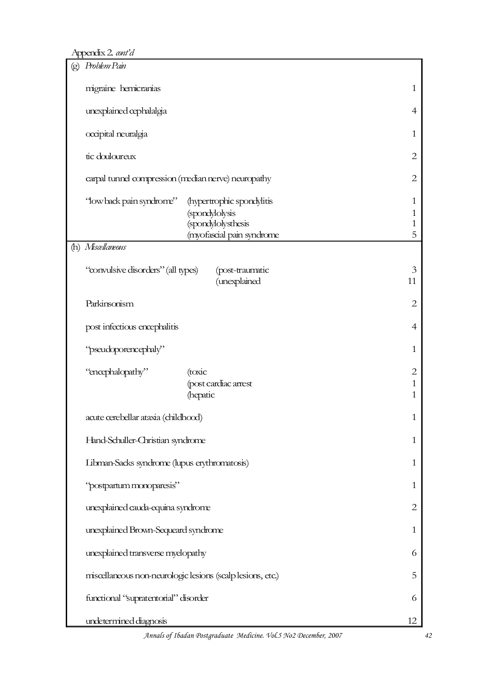Appendix 2. *cont'd*

|             | $\Delta$                                                   |                                                                   |                                              |
|-------------|------------------------------------------------------------|-------------------------------------------------------------------|----------------------------------------------|
| $\circledg$ | Problem Pain                                               |                                                                   |                                              |
|             | migraine hemicranias                                       |                                                                   | $\mathbf{1}$                                 |
|             | unexplained cephalalgia                                    |                                                                   | 4                                            |
|             | occipital neuralgia                                        |                                                                   | 1                                            |
|             | tic douloureux                                             |                                                                   | $\overline{2}$                               |
|             | carpal tunnel compression (median nerve) neuropathy        |                                                                   | $\overline{2}$                               |
|             | "low back pain syndrome"                                   | (hypertrophic spondylitis<br>(spondylolysis<br>(spondylolysthesis | 1<br>1<br>1                                  |
|             | (h) Misællaneous                                           | (myofascial pain syndrome                                         | 5                                            |
|             | "convulsive disorders" (all types)                         | (post-traumtic<br>(unexplained                                    | 3<br>11                                      |
|             | Parkinsonism                                               |                                                                   | $\overline{2}$                               |
|             | post infectious encephalitis                               |                                                                   | $\overline{4}$                               |
|             | "pseudoporencephaly"                                       |                                                                   | 1                                            |
|             | "encephalopathy"                                           | (toxic<br>(post cardiac arrest<br><i>(hepatic</i>                 | $\mathbf{2}$<br>$\mathbf{1}$<br>$\mathbf{1}$ |
|             | acute cerebellar ataxia (childhood)                        |                                                                   | 1                                            |
|             | Hand-Schuller-Christian syndrome                           |                                                                   | 1                                            |
|             | Libman-Sacks syndrome (lupus erythromatosis)               |                                                                   | 1                                            |
|             | "postpartum monoparesis"                                   |                                                                   | $\mathbf{1}$                                 |
|             | unexplained cauda-equina syndrome                          |                                                                   | 2                                            |
|             | unexplained Brown-Sequeard syndrome                        |                                                                   |                                              |
|             | unexplained transverse myelopathy                          |                                                                   | 6                                            |
|             | miscellaneous non-neurologic lesions (scalp lesions, etc.) |                                                                   | 5                                            |
|             | functional "supratentorial" disorder                       |                                                                   | 6                                            |
|             | undetermined diagnosis                                     |                                                                   | 12                                           |